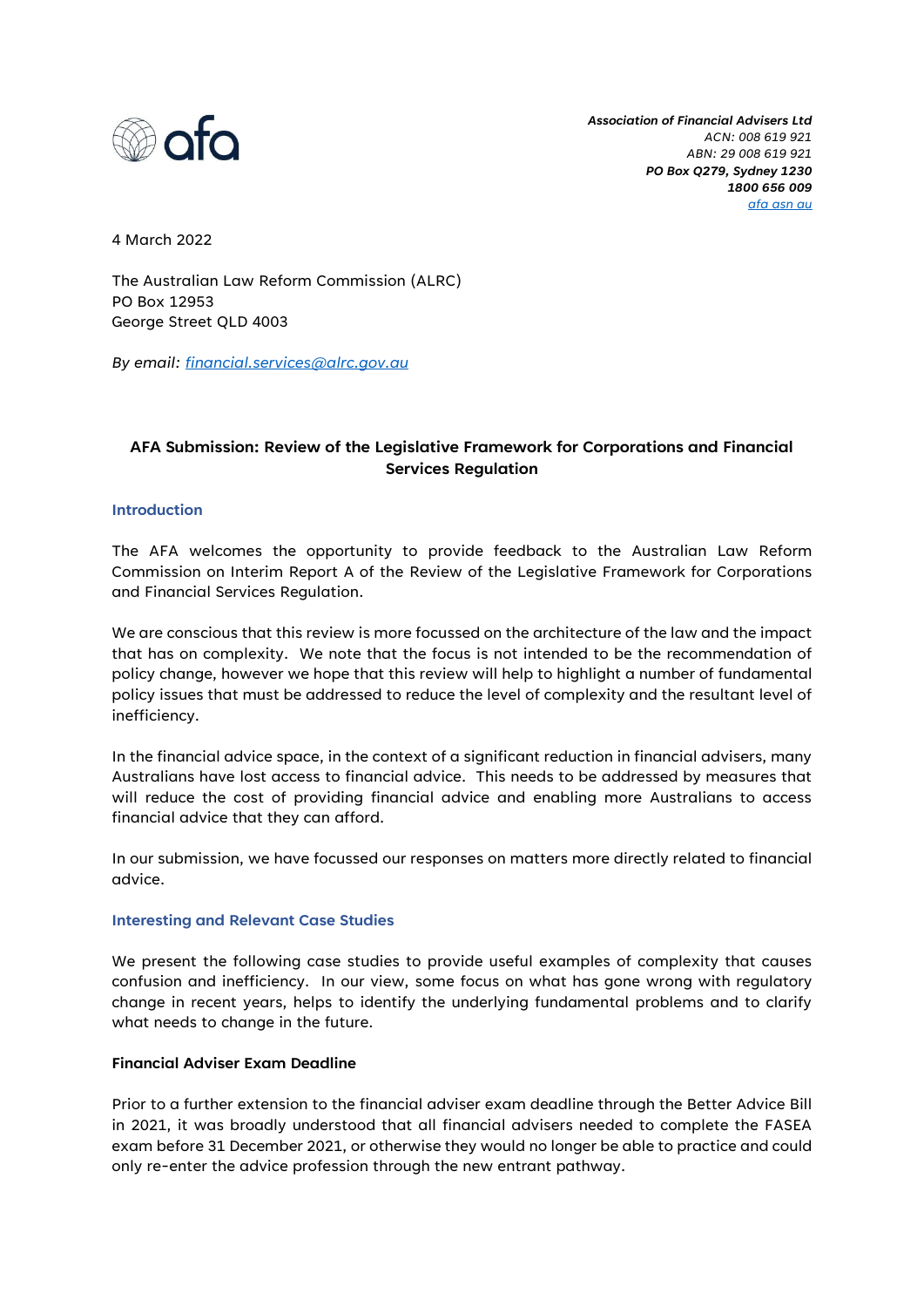

*Association of Financial Advisers Ltd ACN: 008 619 921 ABN: 29 008 619 921 PO Box Q279, Sydney 1230 1800 656 009 afa asn au*

4 March 2022

The Australian Law Reform Commission (ALRC) PO Box 12953 George Street QLD 4003

*By email: financial.services@alrc.gov.au*

# **AFA Submission: Review of the Legislative Framework for Corporations and Financial Services Regulation**

#### **Introduction**

The AFA welcomes the opportunity to provide feedback to the Australian Law Reform Commission on Interim Report A of the Review of the Legislative Framework for Corporations and Financial Services Regulation.

We are conscious that this review is more focussed on the architecture of the law and the impact that has on complexity. We note that the focus is not intended to be the recommendation of policy change, however we hope that this review will help to highlight a number of fundamental policy issues that must be addressed to reduce the level of complexity and the resultant level of inefficiency.

In the financial advice space, in the context of a significant reduction in financial advisers, many Australians have lost access to financial advice. This needs to be addressed by measures that will reduce the cost of providing financial advice and enabling more Australians to access financial advice that they can afford.

In our submission, we have focussed our responses on matters more directly related to financial advice.

#### **Interesting and Relevant Case Studies**

We present the following case studies to provide useful examples of complexity that causes confusion and inefficiency. In our view, some focus on what has gone wrong with regulatory change in recent years, helps to identify the underlying fundamental problems and to clarify what needs to change in the future.

## **Financial Adviser Exam Deadline**

Prior to a further extension to the financial adviser exam deadline through the Better Advice Bill in 2021, it was broadly understood that all financial advisers needed to complete the FASEA exam before 31 December 2021, or otherwise they would no longer be able to practice and could only re-enter the advice profession through the new entrant pathway.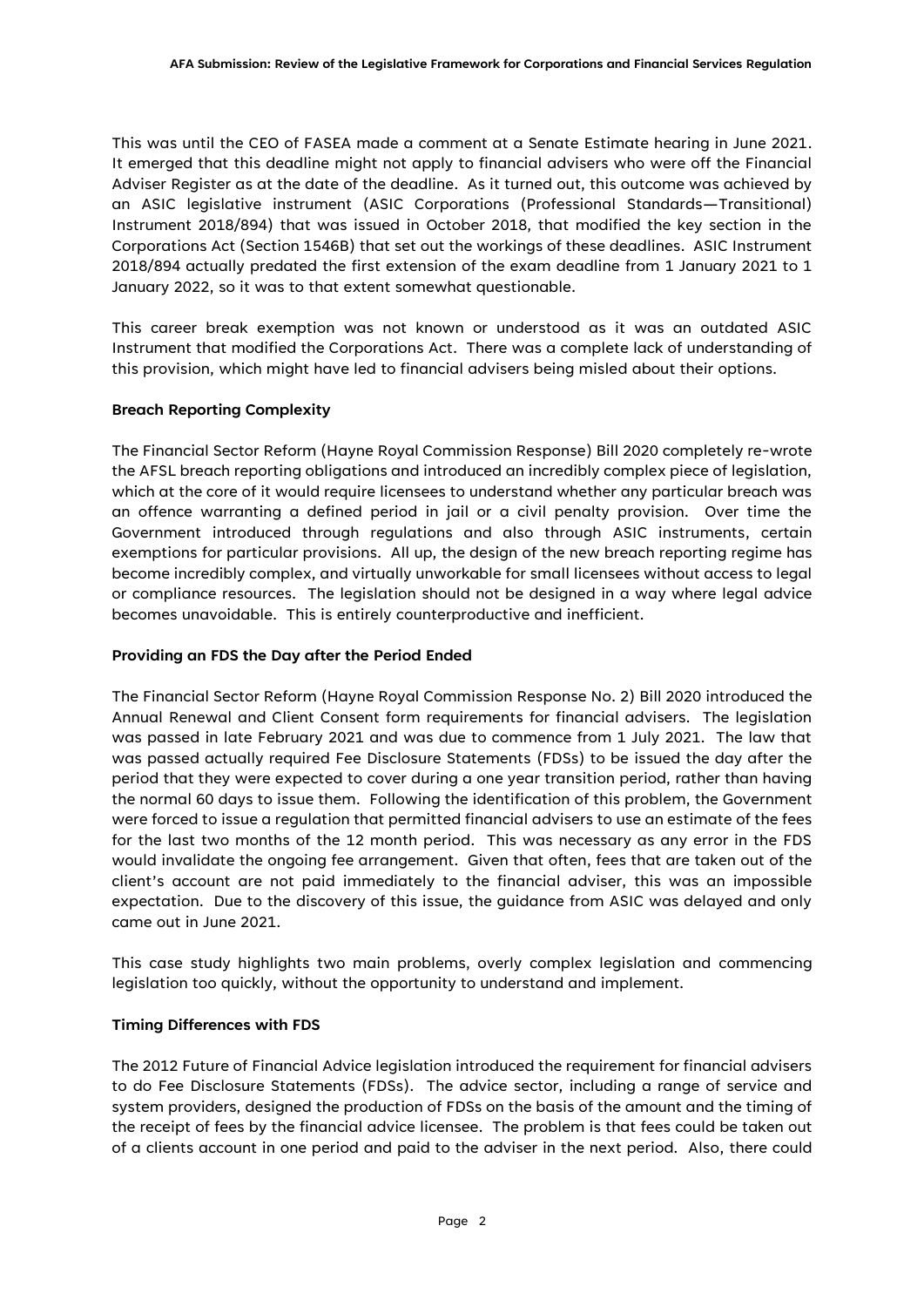This was until the CEO of FASEA made a comment at a Senate Estimate hearing in June 2021. It emerged that this deadline might not apply to financial advisers who were off the Financial Adviser Register as at the date of the deadline. As it turned out, this outcome was achieved by an ASIC legislative instrument (ASIC Corporations (Professional Standards—Transitional) Instrument 2018/894) that was issued in October 2018, that modified the key section in the Corporations Act (Section 1546B) that set out the workings of these deadlines. ASIC Instrument 2018/894 actually predated the first extension of the exam deadline from 1 January 2021 to 1 January 2022, so it was to that extent somewhat questionable.

This career break exemption was not known or understood as it was an outdated ASIC Instrument that modified the Corporations Act. There was a complete lack of understanding of this provision, which might have led to financial advisers being misled about their options.

## **Breach Reporting Complexity**

The Financial Sector Reform (Hayne Royal Commission Response) Bill 2020 completely re-wrote the AFSL breach reporting obligations and introduced an incredibly complex piece of legislation, which at the core of it would require licensees to understand whether any particular breach was an offence warranting a defined period in jail or a civil penalty provision. Over time the Government introduced through regulations and also through ASIC instruments, certain exemptions for particular provisions. All up, the design of the new breach reporting regime has become incredibly complex, and virtually unworkable for small licensees without access to legal or compliance resources. The legislation should not be designed in a way where legal advice becomes unavoidable. This is entirely counterproductive and inefficient.

## **Providing an FDS the Day after the Period Ended**

The Financial Sector Reform (Hayne Royal Commission Response No. 2) Bill 2020 introduced the Annual Renewal and Client Consent form requirements for financial advisers. The legislation was passed in late February 2021 and was due to commence from 1 July 2021. The law that was passed actually required Fee Disclosure Statements (FDSs) to be issued the day after the period that they were expected to cover during a one year transition period, rather than having the normal 60 days to issue them. Following the identification of this problem, the Government were forced to issue a regulation that permitted financial advisers to use an estimate of the fees for the last two months of the 12 month period. This was necessary as any error in the FDS would invalidate the ongoing fee arrangement. Given that often, fees that are taken out of the client's account are not paid immediately to the financial adviser, this was an impossible expectation. Due to the discovery of this issue, the guidance from ASIC was delayed and only came out in June 2021.

This case study highlights two main problems, overly complex legislation and commencing legislation too quickly, without the opportunity to understand and implement.

## **Timing Differences with FDS**

The 2012 Future of Financial Advice legislation introduced the requirement for financial advisers to do Fee Disclosure Statements (FDSs). The advice sector, including a range of service and system providers, designed the production of FDSs on the basis of the amount and the timing of the receipt of fees by the financial advice licensee. The problem is that fees could be taken out of a clients account in one period and paid to the adviser in the next period. Also, there could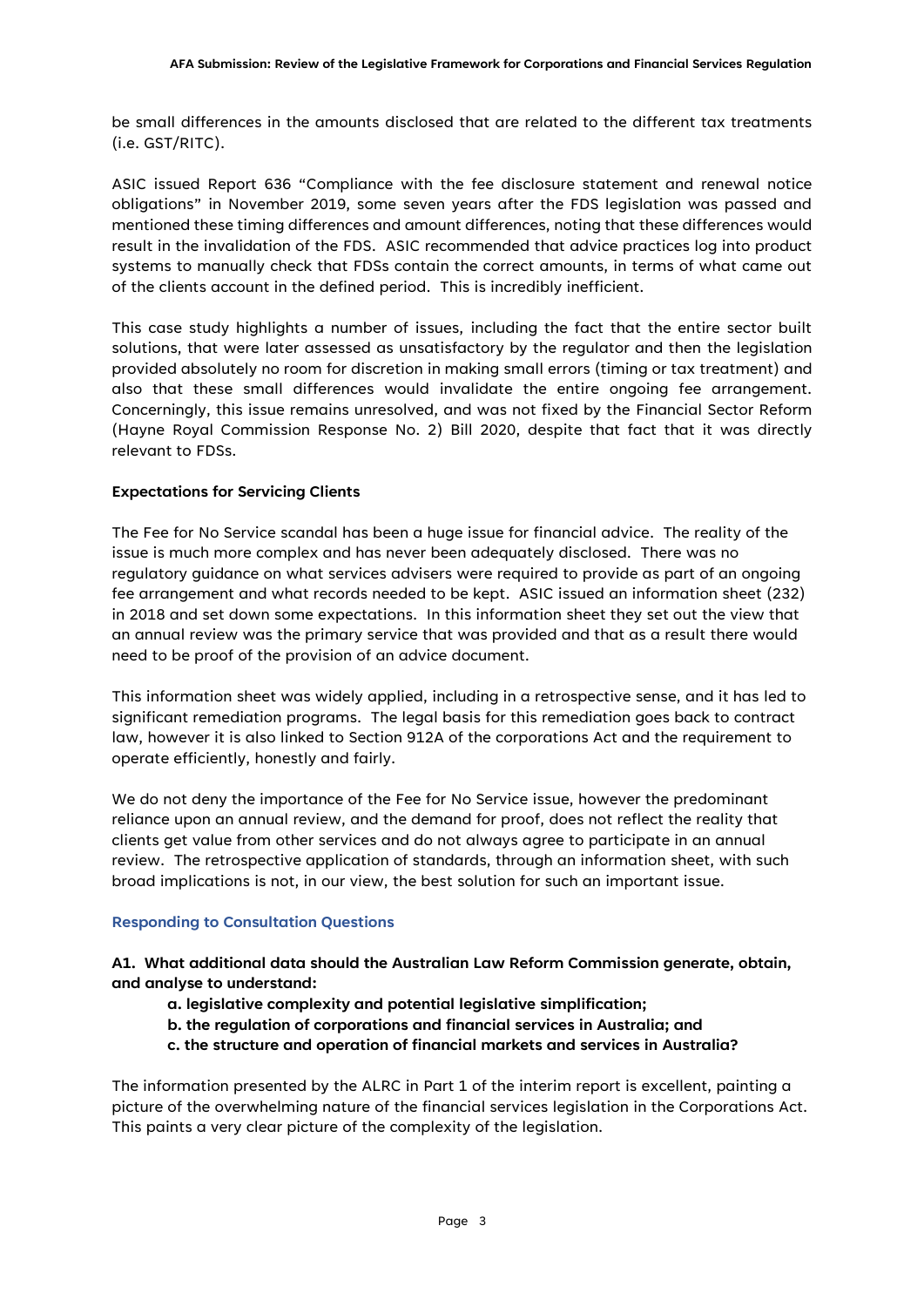be small differences in the amounts disclosed that are related to the different tax treatments (i.e. GST/RITC).

ASIC issued Report 636 "Compliance with the fee disclosure statement and renewal notice obligations" in November 2019, some seven years after the FDS legislation was passed and mentioned these timing differences and amount differences, noting that these differences would result in the invalidation of the FDS. ASIC recommended that advice practices log into product systems to manually check that FDSs contain the correct amounts, in terms of what came out of the clients account in the defined period. This is incredibly inefficient.

This case study highlights a number of issues, including the fact that the entire sector built solutions, that were later assessed as unsatisfactory by the regulator and then the legislation provided absolutely no room for discretion in making small errors (timing or tax treatment) and also that these small differences would invalidate the entire ongoing fee arrangement. Concerningly, this issue remains unresolved, and was not fixed by the Financial Sector Reform (Hayne Royal Commission Response No. 2) Bill 2020, despite that fact that it was directly relevant to FDSs.

## **Expectations for Servicing Clients**

The Fee for No Service scandal has been a huge issue for financial advice. The reality of the issue is much more complex and has never been adequately disclosed. There was no regulatory guidance on what services advisers were required to provide as part of an ongoing fee arrangement and what records needed to be kept. ASIC issued an information sheet (232) in 2018 and set down some expectations. In this information sheet they set out the view that an annual review was the primary service that was provided and that as a result there would need to be proof of the provision of an advice document.

This information sheet was widely applied, including in a retrospective sense, and it has led to significant remediation programs. The legal basis for this remediation goes back to contract law, however it is also linked to Section 912A of the corporations Act and the requirement to operate efficiently, honestly and fairly.

We do not deny the importance of the Fee for No Service issue, however the predominant reliance upon an annual review, and the demand for proof, does not reflect the reality that clients get value from other services and do not always agree to participate in an annual review. The retrospective application of standards, through an information sheet, with such broad implications is not, in our view, the best solution for such an important issue.

## **Responding to Consultation Questions**

## **A1. What additional data should the Australian Law Reform Commission generate, obtain, and analyse to understand:**

- **a. legislative complexity and potential legislative simplification;**
- **b. the regulation of corporations and financial services in Australia; and**
- **c. the structure and operation of financial markets and services in Australia?**

The information presented by the ALRC in Part 1 of the interim report is excellent, painting a picture of the overwhelming nature of the financial services legislation in the Corporations Act. This paints a very clear picture of the complexity of the legislation.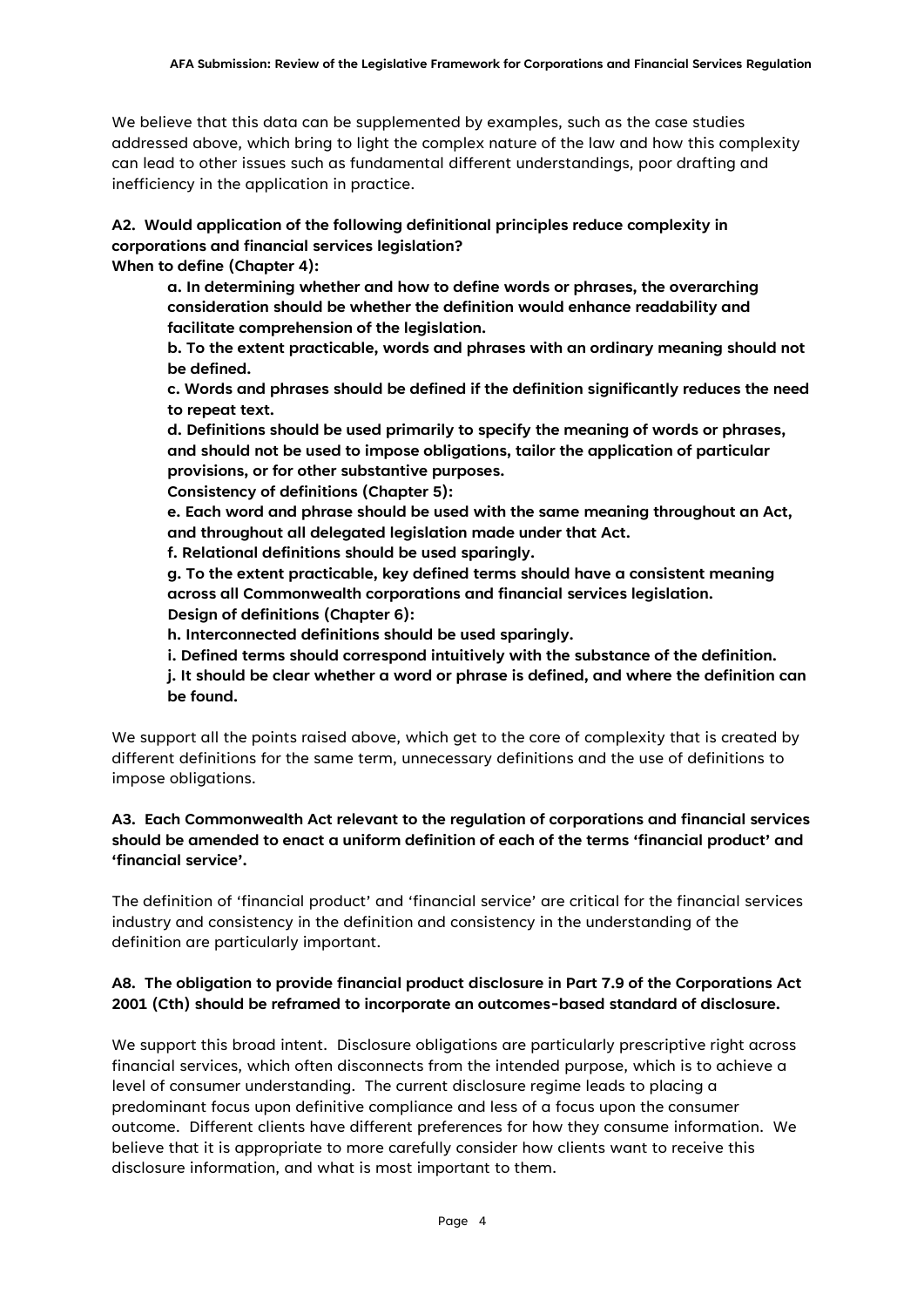We believe that this data can be supplemented by examples, such as the case studies addressed above, which bring to light the complex nature of the law and how this complexity can lead to other issues such as fundamental different understandings, poor drafting and inefficiency in the application in practice.

# **A2. Would application of the following definitional principles reduce complexity in corporations and financial services legislation?**

**When to define (Chapter 4):**

**a. In determining whether and how to define words or phrases, the overarching consideration should be whether the definition would enhance readability and facilitate comprehension of the legislation.**

**b. To the extent practicable, words and phrases with an ordinary meaning should not be defined.**

**c. Words and phrases should be defined if the definition significantly reduces the need to repeat text.**

**d. Definitions should be used primarily to specify the meaning of words or phrases, and should not be used to impose obligations, tailor the application of particular provisions, or for other substantive purposes.**

**Consistency of definitions (Chapter 5):**

**e. Each word and phrase should be used with the same meaning throughout an Act, and throughout all delegated legislation made under that Act.**

**f. Relational definitions should be used sparingly.**

**g. To the extent practicable, key defined terms should have a consistent meaning across all Commonwealth corporations and financial services legislation. Design of definitions (Chapter 6):**

**h. Interconnected definitions should be used sparingly.**

**i. Defined terms should correspond intuitively with the substance of the definition.**

**j. It should be clear whether a word or phrase is defined, and where the definition can be found.**

We support all the points raised above, which get to the core of complexity that is created by different definitions for the same term, unnecessary definitions and the use of definitions to impose obligations.

## **A3. Each Commonwealth Act relevant to the regulation of corporations and financial services should be amended to enact a uniform definition of each of the terms 'financial product' and 'financial service'.**

The definition of 'financial product' and 'financial service' are critical for the financial services industry and consistency in the definition and consistency in the understanding of the definition are particularly important.

## **A8. The obligation to provide financial product disclosure in Part 7.9 of the Corporations Act 2001 (Cth) should be reframed to incorporate an outcomes-based standard of disclosure.**

We support this broad intent. Disclosure obligations are particularly prescriptive right across financial services, which often disconnects from the intended purpose, which is to achieve a level of consumer understanding. The current disclosure regime leads to placing a predominant focus upon definitive compliance and less of a focus upon the consumer outcome. Different clients have different preferences for how they consume information. We believe that it is appropriate to more carefully consider how clients want to receive this disclosure information, and what is most important to them.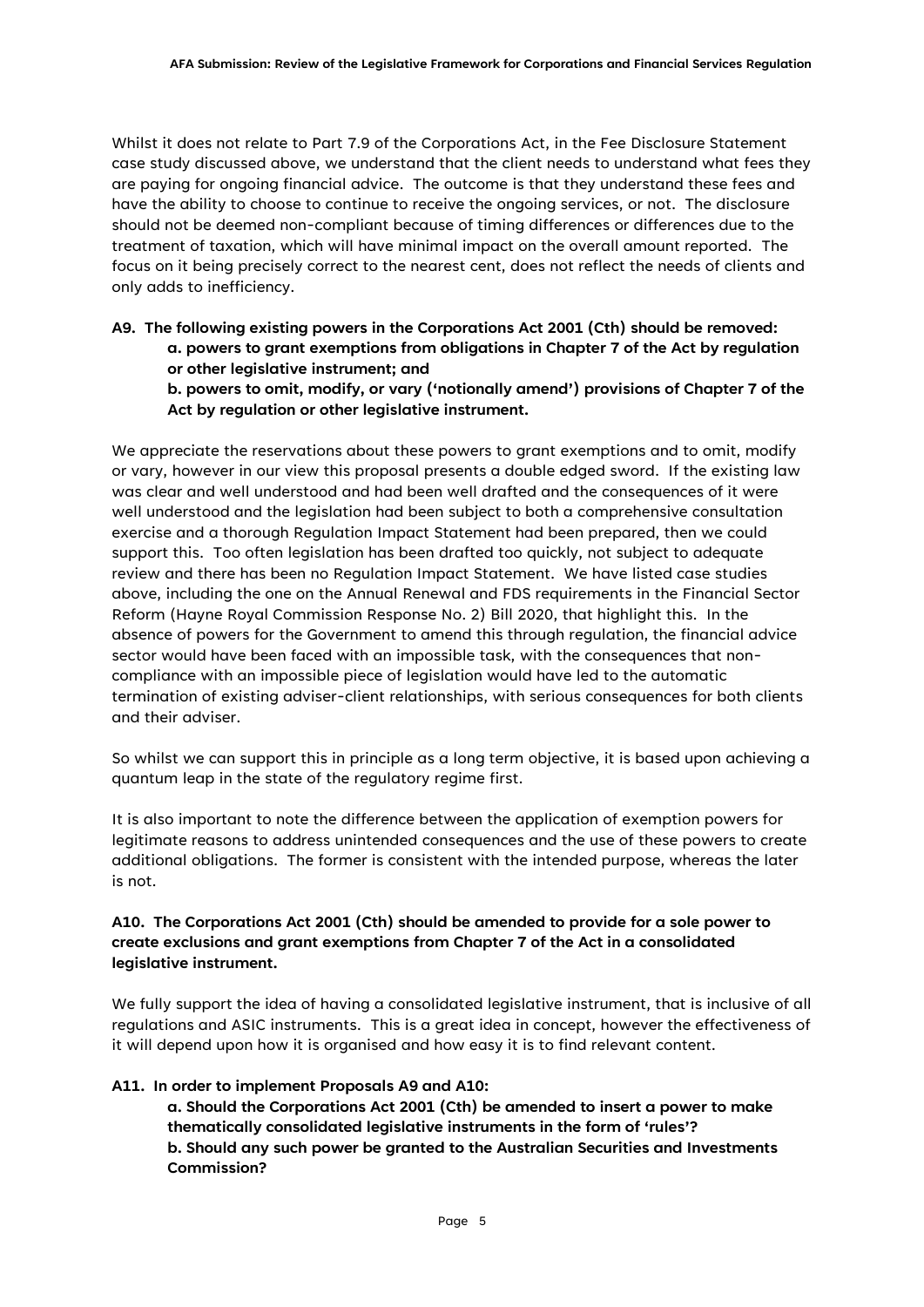Whilst it does not relate to Part 7.9 of the Corporations Act, in the Fee Disclosure Statement case study discussed above, we understand that the client needs to understand what fees they are paying for ongoing financial advice. The outcome is that they understand these fees and have the ability to choose to continue to receive the ongoing services, or not. The disclosure should not be deemed non-compliant because of timing differences or differences due to the treatment of taxation, which will have minimal impact on the overall amount reported. The focus on it being precisely correct to the nearest cent, does not reflect the needs of clients and only adds to inefficiency.

# **A9. The following existing powers in the Corporations Act 2001 (Cth) should be removed: a. powers to grant exemptions from obligations in Chapter 7 of the Act by regulation or other legislative instrument; and**

**b. powers to omit, modify, or vary ('notionally amend') provisions of Chapter 7 of the Act by regulation or other legislative instrument.**

We appreciate the reservations about these powers to grant exemptions and to omit, modify or vary, however in our view this proposal presents a double edged sword. If the existing law was clear and well understood and had been well drafted and the consequences of it were well understood and the legislation had been subject to both a comprehensive consultation exercise and a thorough Regulation Impact Statement had been prepared, then we could support this. Too often legislation has been drafted too quickly, not subject to adequate review and there has been no Regulation Impact Statement. We have listed case studies above, including the one on the Annual Renewal and FDS requirements in the Financial Sector Reform (Hayne Royal Commission Response No. 2) Bill 2020, that highlight this. In the absence of powers for the Government to amend this through regulation, the financial advice sector would have been faced with an impossible task, with the consequences that noncompliance with an impossible piece of legislation would have led to the automatic termination of existing adviser-client relationships, with serious consequences for both clients and their adviser.

So whilst we can support this in principle as a long term objective, it is based upon achieving a quantum leap in the state of the regulatory regime first.

It is also important to note the difference between the application of exemption powers for legitimate reasons to address unintended consequences and the use of these powers to create additional obligations. The former is consistent with the intended purpose, whereas the later is not.

# **A10. The Corporations Act 2001 (Cth) should be amended to provide for a sole power to create exclusions and grant exemptions from Chapter 7 of the Act in a consolidated legislative instrument.**

We fully support the idea of having a consolidated legislative instrument, that is inclusive of all regulations and ASIC instruments. This is a great idea in concept, however the effectiveness of it will depend upon how it is organised and how easy it is to find relevant content.

## **A11. In order to implement Proposals A9 and A10:**

**a. Should the Corporations Act 2001 (Cth) be amended to insert a power to make thematically consolidated legislative instruments in the form of 'rules'? b. Should any such power be granted to the Australian Securities and Investments Commission?**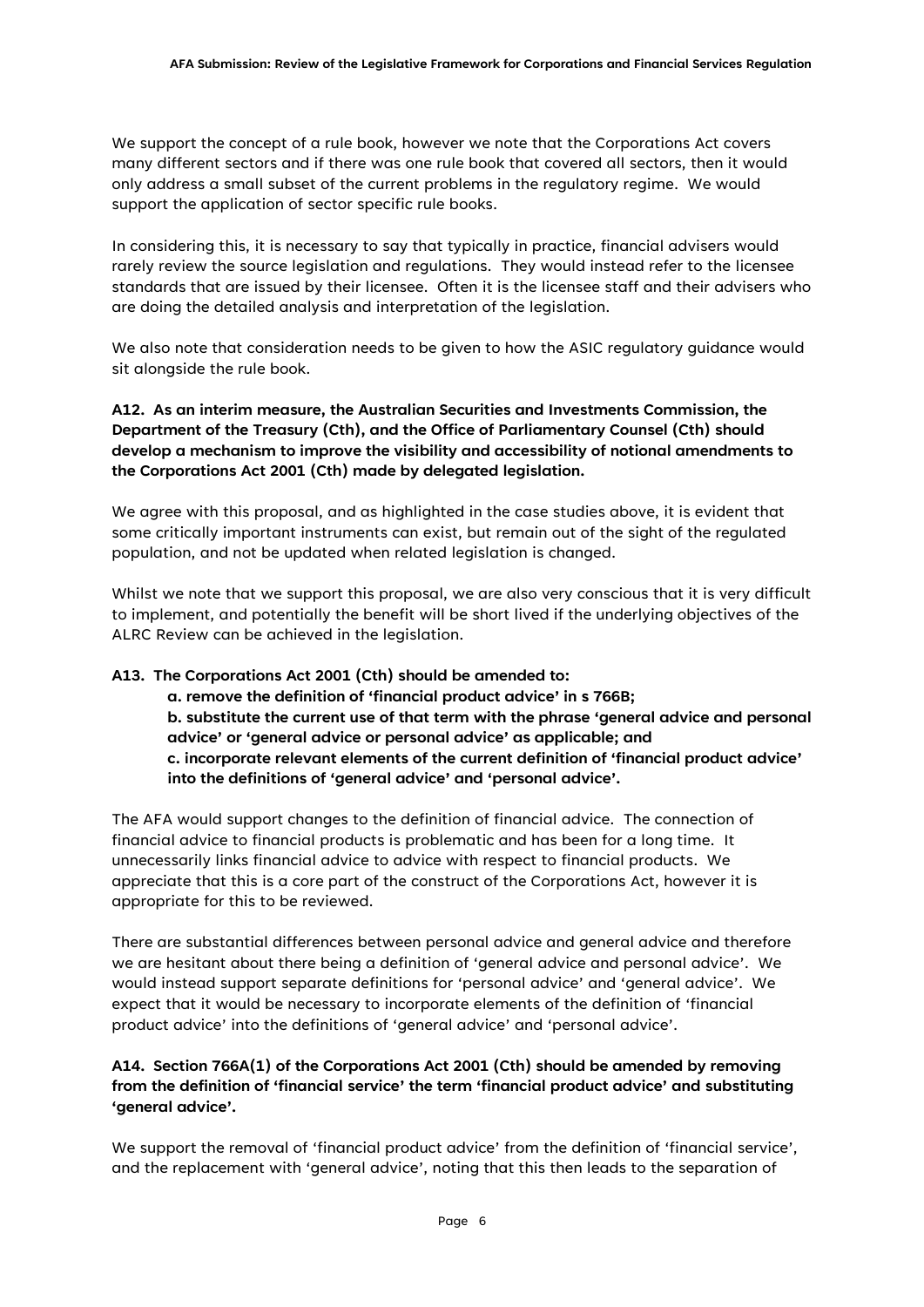We support the concept of a rule book, however we note that the Corporations Act covers many different sectors and if there was one rule book that covered all sectors, then it would only address a small subset of the current problems in the regulatory regime. We would support the application of sector specific rule books.

In considering this, it is necessary to say that typically in practice, financial advisers would rarely review the source legislation and regulations. They would instead refer to the licensee standards that are issued by their licensee. Often it is the licensee staff and their advisers who are doing the detailed analysis and interpretation of the legislation.

We also note that consideration needs to be given to how the ASIC regulatory guidance would sit alongside the rule book.

**A12. As an interim measure, the Australian Securities and Investments Commission, the Department of the Treasury (Cth), and the Office of Parliamentary Counsel (Cth) should develop a mechanism to improve the visibility and accessibility of notional amendments to the Corporations Act 2001 (Cth) made by delegated legislation.**

We agree with this proposal, and as highlighted in the case studies above, it is evident that some critically important instruments can exist, but remain out of the sight of the regulated population, and not be updated when related legislation is changed.

Whilst we note that we support this proposal, we are also very conscious that it is very difficult to implement, and potentially the benefit will be short lived if the underlying objectives of the ALRC Review can be achieved in the legislation.

## **A13. The Corporations Act 2001 (Cth) should be amended to:**

**a. remove the definition of 'financial product advice' in s 766B; b. substitute the current use of that term with the phrase 'general advice and personal advice' or 'general advice or personal advice' as applicable; and c. incorporate relevant elements of the current definition of 'financial product advice' into the definitions of 'general advice' and 'personal advice'.**

The AFA would support changes to the definition of financial advice. The connection of financial advice to financial products is problematic and has been for a long time. It unnecessarily links financial advice to advice with respect to financial products. We appreciate that this is a core part of the construct of the Corporations Act, however it is appropriate for this to be reviewed.

There are substantial differences between personal advice and general advice and therefore we are hesitant about there being a definition of 'general advice and personal advice'. We would instead support separate definitions for 'personal advice' and 'general advice'. We expect that it would be necessary to incorporate elements of the definition of 'financial product advice' into the definitions of 'general advice' and 'personal advice'.

# **A14. Section 766A(1) of the Corporations Act 2001 (Cth) should be amended by removing from the definition of 'financial service' the term 'financial product advice' and substituting 'general advice'.**

We support the removal of 'financial product advice' from the definition of 'financial service', and the replacement with 'general advice', noting that this then leads to the separation of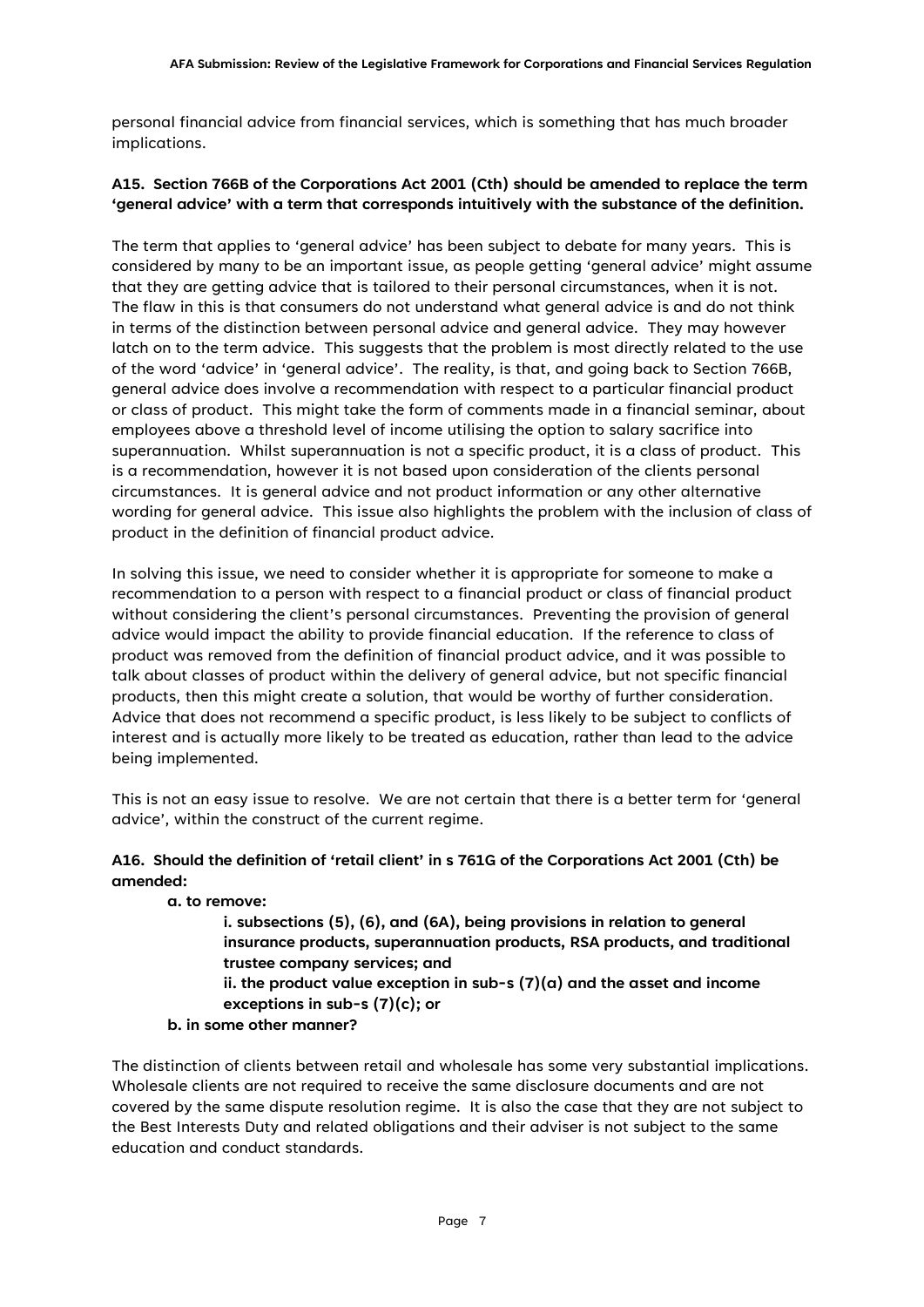personal financial advice from financial services, which is something that has much broader implications.

## **A15. Section 766B of the Corporations Act 2001 (Cth) should be amended to replace the term 'general advice' with a term that corresponds intuitively with the substance of the definition.**

The term that applies to 'general advice' has been subject to debate for many years. This is considered by many to be an important issue, as people getting 'general advice' might assume that they are getting advice that is tailored to their personal circumstances, when it is not. The flaw in this is that consumers do not understand what general advice is and do not think in terms of the distinction between personal advice and general advice. They may however latch on to the term advice. This suggests that the problem is most directly related to the use of the word 'advice' in 'general advice'. The reality, is that, and going back to Section 766B, general advice does involve a recommendation with respect to a particular financial product or class of product. This might take the form of comments made in a financial seminar, about employees above a threshold level of income utilising the option to salary sacrifice into superannuation. Whilst superannuation is not a specific product, it is a class of product. This is a recommendation, however it is not based upon consideration of the clients personal circumstances. It is general advice and not product information or any other alternative wording for general advice. This issue also highlights the problem with the inclusion of class of product in the definition of financial product advice.

In solving this issue, we need to consider whether it is appropriate for someone to make a recommendation to a person with respect to a financial product or class of financial product without considering the client's personal circumstances. Preventing the provision of general advice would impact the ability to provide financial education. If the reference to class of product was removed from the definition of financial product advice, and it was possible to talk about classes of product within the delivery of general advice, but not specific financial products, then this might create a solution, that would be worthy of further consideration. Advice that does not recommend a specific product, is less likely to be subject to conflicts of interest and is actually more likely to be treated as education, rather than lead to the advice being implemented.

This is not an easy issue to resolve. We are not certain that there is a better term for 'general advice', within the construct of the current regime.

## **A16. Should the definition of 'retail client' in s 761G of the Corporations Act 2001 (Cth) be amended:**

**a. to remove:**

**i. subsections (5), (6), and (6A), being provisions in relation to general insurance products, superannuation products, RSA products, and traditional trustee company services; and ii. the product value exception in sub-s (7)(a) and the asset and income** 

**exceptions in sub-s (7)(c); or**

## **b. in some other manner?**

The distinction of clients between retail and wholesale has some very substantial implications. Wholesale clients are not required to receive the same disclosure documents and are not covered by the same dispute resolution regime. It is also the case that they are not subject to the Best Interests Duty and related obligations and their adviser is not subject to the same education and conduct standards.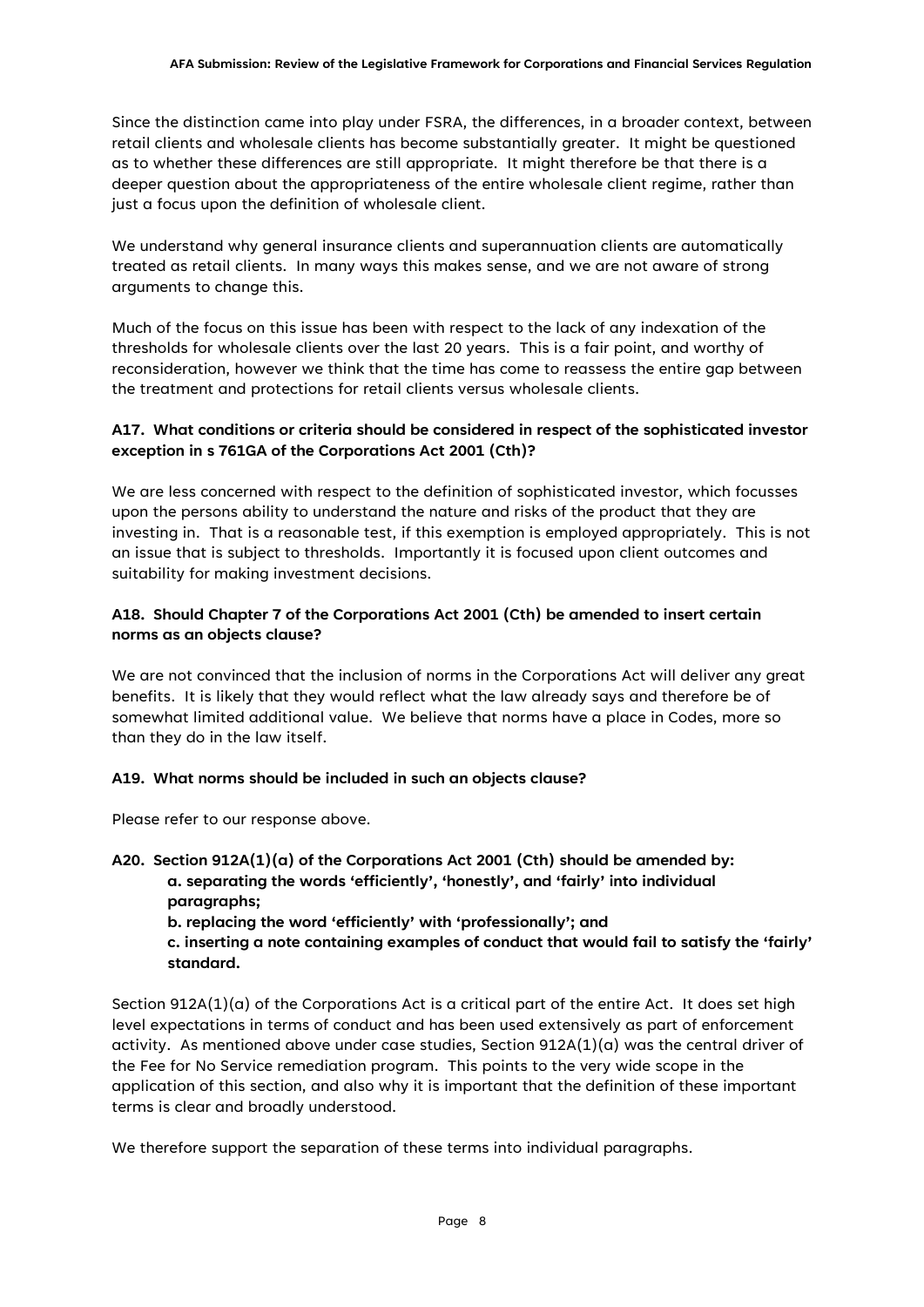Since the distinction came into play under FSRA, the differences, in a broader context, between retail clients and wholesale clients has become substantially greater. It might be questioned as to whether these differences are still appropriate. It might therefore be that there is a deeper question about the appropriateness of the entire wholesale client regime, rather than just a focus upon the definition of wholesale client.

We understand why general insurance clients and superannuation clients are automatically treated as retail clients. In many ways this makes sense, and we are not aware of strong arguments to change this.

Much of the focus on this issue has been with respect to the lack of any indexation of the thresholds for wholesale clients over the last 20 years. This is a fair point, and worthy of reconsideration, however we think that the time has come to reassess the entire gap between the treatment and protections for retail clients versus wholesale clients.

## **A17. What conditions or criteria should be considered in respect of the sophisticated investor exception in s 761GA of the Corporations Act 2001 (Cth)?**

We are less concerned with respect to the definition of sophisticated investor, which focusses upon the persons ability to understand the nature and risks of the product that they are investing in. That is a reasonable test, if this exemption is employed appropriately. This is not an issue that is subject to thresholds. Importantly it is focused upon client outcomes and suitability for making investment decisions.

## **A18. Should Chapter 7 of the Corporations Act 2001 (Cth) be amended to insert certain norms as an objects clause?**

We are not convinced that the inclusion of norms in the Corporations Act will deliver any great benefits. It is likely that they would reflect what the law already says and therefore be of somewhat limited additional value. We believe that norms have a place in Codes, more so than they do in the law itself.

## **A19. What norms should be included in such an objects clause?**

Please refer to our response above.

- **A20. Section 912A(1)(a) of the Corporations Act 2001 (Cth) should be amended by: a. separating the words 'efficiently', 'honestly', and 'fairly' into individual paragraphs;**
	- **b. replacing the word 'efficiently' with 'professionally'; and**
	- **c. inserting a note containing examples of conduct that would fail to satisfy the 'fairly' standard.**

Section 912A(1)(a) of the Corporations Act is a critical part of the entire Act. It does set high level expectations in terms of conduct and has been used extensively as part of enforcement activity. As mentioned above under case studies, Section  $912A(1)(a)$  was the central driver of the Fee for No Service remediation program. This points to the very wide scope in the application of this section, and also why it is important that the definition of these important terms is clear and broadly understood.

We therefore support the separation of these terms into individual paragraphs.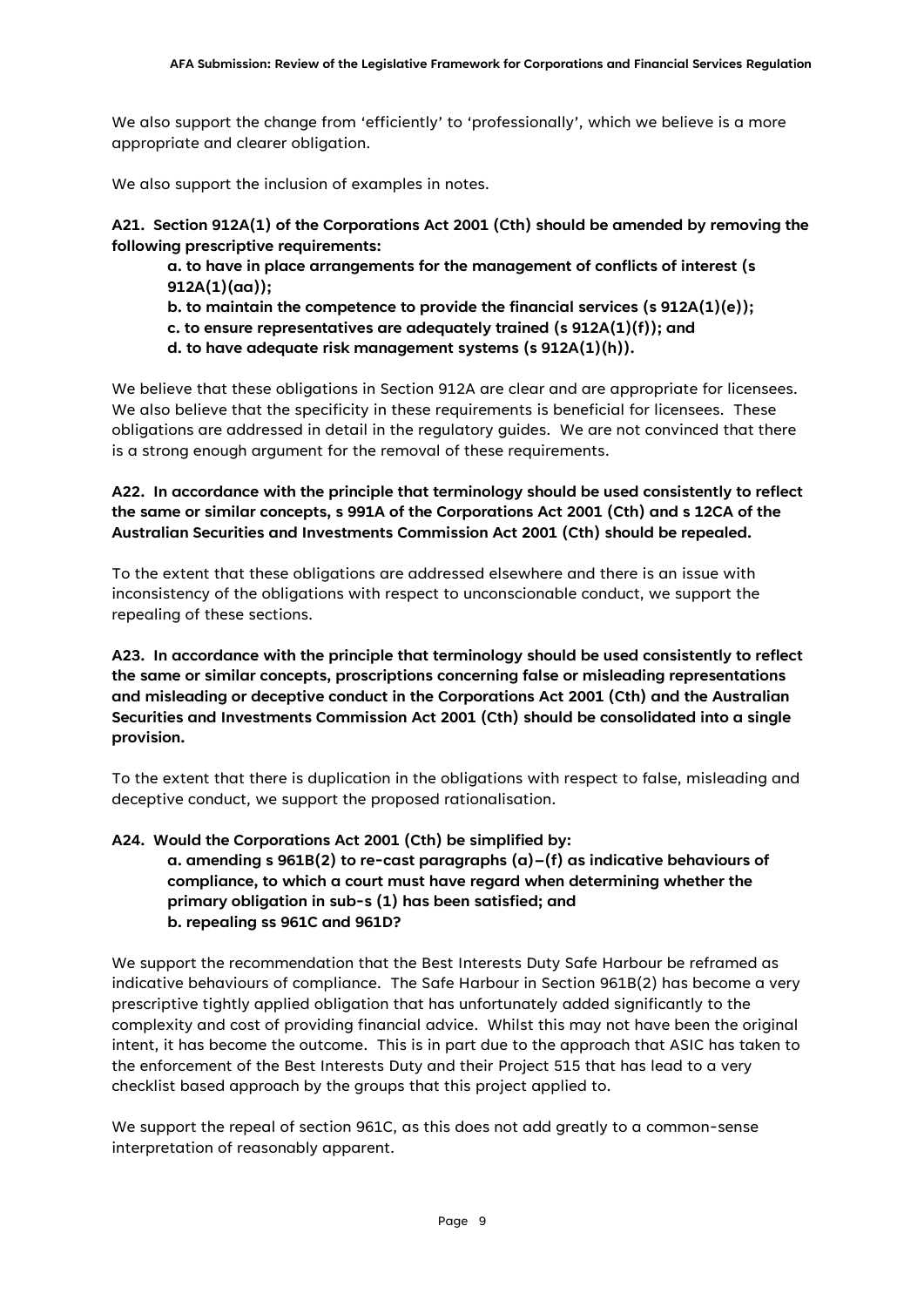We also support the change from 'efficiently' to 'professionally', which we believe is a more appropriate and clearer obligation.

We also support the inclusion of examples in notes.

**A21. Section 912A(1) of the Corporations Act 2001 (Cth) should be amended by removing the following prescriptive requirements:**

**a. to have in place arrangements for the management of conflicts of interest (s 912A(1)(aa));**

**b. to maintain the competence to provide the financial services (s 912A(1)(e));**

**c. to ensure representatives are adequately trained (s 912A(1)(f)); and**

**d. to have adequate risk management systems (s 912A(1)(h)).**

We believe that these obligations in Section 912A are clear and are appropriate for licensees. We also believe that the specificity in these requirements is beneficial for licensees. These obligations are addressed in detail in the regulatory guides. We are not convinced that there is a strong enough argument for the removal of these requirements.

**A22. In accordance with the principle that terminology should be used consistently to reflect the same or similar concepts, s 991A of the Corporations Act 2001 (Cth) and s 12CA of the Australian Securities and Investments Commission Act 2001 (Cth) should be repealed.**

To the extent that these obligations are addressed elsewhere and there is an issue with inconsistency of the obligations with respect to unconscionable conduct, we support the repealing of these sections.

**A23. In accordance with the principle that terminology should be used consistently to reflect the same or similar concepts, proscriptions concerning false or misleading representations and misleading or deceptive conduct in the Corporations Act 2001 (Cth) and the Australian Securities and Investments Commission Act 2001 (Cth) should be consolidated into a single provision.**

To the extent that there is duplication in the obligations with respect to false, misleading and deceptive conduct, we support the proposed rationalisation.

**A24. Would the Corporations Act 2001 (Cth) be simplified by:**

**a. amending s 961B(2) to re-cast paragraphs (a)–(f) as indicative behaviours of compliance, to which a court must have regard when determining whether the primary obligation in sub-s (1) has been satisfied; and b. repealing ss 961C and 961D?**

We support the recommendation that the Best Interests Duty Safe Harbour be reframed as indicative behaviours of compliance. The Safe Harbour in Section 961B(2) has become a very prescriptive tightly applied obligation that has unfortunately added significantly to the complexity and cost of providing financial advice. Whilst this may not have been the original intent, it has become the outcome. This is in part due to the approach that ASIC has taken to the enforcement of the Best Interests Duty and their Project 515 that has lead to a very checklist based approach by the groups that this project applied to.

We support the repeal of section 961C, as this does not add greatly to a common-sense interpretation of reasonably apparent.